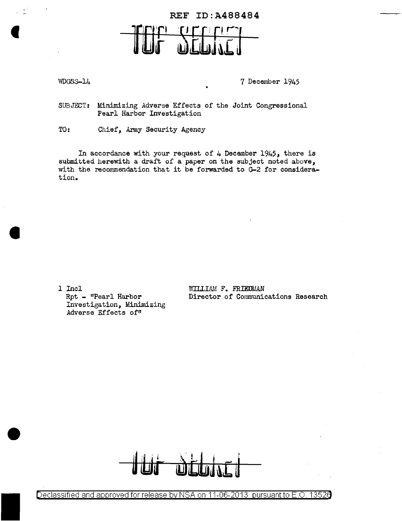## REF ID:A488484

WDGSS-14 7 December 1945

SUBJECT: Minimizing Adverse Effects of the Joint Congressional Pearl Harbor Investigation

TO: Chief, Army Security Agency

In accordance with your request of  $4$  December 1945, there is submitted herewith a draft of a paper on the subject noted above, with the recommendation that it be forwarded to G-2 for consideration.

1 Incl Rpt - "Pearl Harbor Investigation, Minimizing Adverse Effects of"

WILLIAM F. FRIEDMAN Director of Communications Research



Declassified and approved for release by NSA on 11-06-2013 pursuant to E.O. 13526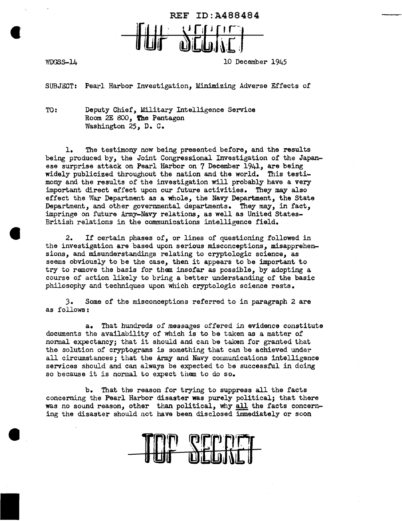

 $\bullet$ 

WDGSS-14 10 December 1945

SUBJECT: Pearl Harbor Investigation, Minimizing Adverse Effects of

TO: Deputy Chief, Military Intelligence Service Room 2E *800,* l'he Pentagon Washington 25, D. c.

1. The testimony now being presented before, and the results being produced by, the Joint Congressional Investigation of the Japanese surprise attack on Pearl Harbor on 7 December 1941, are being widely publicized throughout the nation and the world. This testimony and the results of the investigation will probably have a very important direct effect upon our future activities. They may also effect the War Department as a whole, the Navy Department, the State Department, and other governmental departments. They may, in fact, impringe on future Army-Navy relations, as well as United States-British relations in the communications intelligence field.

2. If certain phases of, or lines of questioning followed in the investigation are based upon serious misconceptions, misapprehensions, and misunderstandings relating to cryptologic science, as seems obviously to be the case, then it appears to be important to try to remove the basis for them insofar as possible, by adopting a course of action likely to bring a better understanding of the basic philosophy and techniques upon which cryptologic science rests.

J. Some of the misconceptions referred to in paragraph 2 are as follows:

a. That hundreds of messages offered in evidence constitute documents the availability of which is to be taken as a matter of normal expectancy; that it should and can be taken for granted that the solution of cryptograms is something that can be achieved under all circumstances; that the Army and Navy communications intelligence services should and can always be expected to be successful in doing so because it is normal to expect them to do so.

b. That the reason for trying to suppress all the facts concerning the Pearl Harbor disaster was purely political; that there was no sound reason, other than political, why all the facts concerning the disaster should not have been disclosed immediately or soon

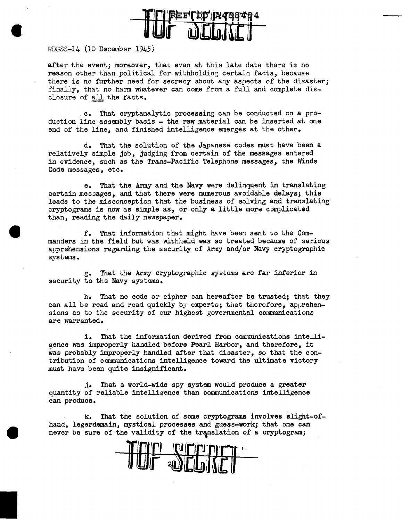

WDGSS-14 (10 December 1945)

after the event; moreover, that even at this late date there is no reason other than political for withholding certain facts, because there is no further need for secrecy about any aspects of the disaster; finally, that no harm whatever can come from a full and complete disclosure of all the facts.

c. That cryptanalytic processing can be conducted on a production line assembly basis  $-$  the raw material can be inserted at one end of the line, and finished intelligence emerges at the other.

d. That the solution of the Japanese codes must have been a relatively simple job, judging from certain of the messages entered in evidence, such as the Trans-Pacific Telephone messages, the Winds Code messages, etc.

e. That the Army and the Navy were delinquent in translating certain messages, and that there were numerous avoidable delays; this leads to the misconception that the business of solving and translating cryptograms is now as simple as, or only a little more complicated than, reading the daily newspaper.

f. That information that might have been sent to the Commanders in the field but was withheld was so treated because of serious apprehensions regarding the security of Army and/or Navy cryptographic systems.

g. That the Army cryptographic systems are far interior in security to the Navy systems.

h. That no code or cipher can hereafter be trusted; that they can all be read and read quickly by experts; that therefore, apprehen*sions* as to the security of our highest governmental communications are warranted.

i. That the information derived from communications intelligence was improperly handled before Pearl Harbor, and therefore, it was probably improperly handled after that disaster, so that the contribution of communications intelligence toward the ultimate victory must have been quite insignificant.

j. That a world-wide spy system would produce a greater quantity of reliable intelligence than communications intelligence can produce.

k. That the solution of some cryptograms involves slight-ofhand, legerdemain, mystical processes and guess-work; that one can never be sure of the validity of the translation of a cryptogram;

f Ofring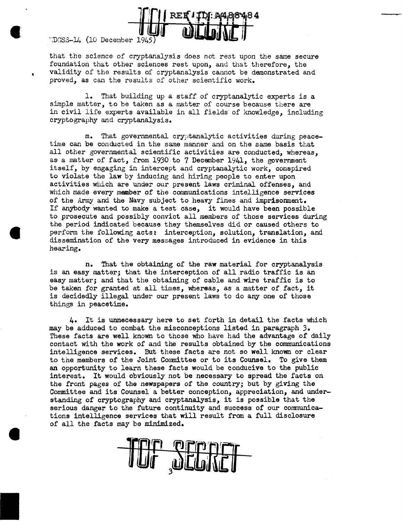

 $1.10$ GSS- $14$ . (10 December 1945

that the science of cryptanalysis does not rest upon the same secure foundation that other sciences rest upon, and that therefore, the validity of the results of cryptanalysis cannot be demonstrated and proved, as can the results of other scientific work.

1. That building up a staff of cryptanalytic experts is a simple matter, to be taken as a matter of course because there are in civil life experts available in all fields of knowledge, including cryptography and cryptanalysis.

m. That governmental cryptanalytic activities during peacetime can be conducted in the same manner and on the same basis that all other governmental scientific activities are conducted, whereas, as a matter of fact, from 1930 to 7 December 1941, the government itself, by engaging in intercept and cryptanalytic work, conspired to violate the law by inducing and hiring people to enter upon activities which are under our present laws criminal offenses, and which made every member of the communications intelligence services of the Army and the Navy subject to heavy fines and imprisonment. If anybody wanted to make a test case, it would have been possible to prosecute and possibly convict all members of those services during the period indicated because they themselves did or caused others to perform the following acts: interception, solution, translation, and dissemination of the very messages introduced in evidence in this hearing.

n. That the obtaining of the raw material for cryptanalysis is an easy matter; that the interception of all radio traffic is an easy matter; and that the obtaining of cable and wire traffic is to be taken for granted at all times, whereas, as a matter of fact, it is decidedly illegal under our present laws to do any one of those things in peacetime.

4. It is unnecessary here to set forth in detail the facts which may be adduced to combat the misconceptions listed in paragraph *3.*  These facts are well known to those who have had the advantage of daily contact with the work of and the results obtained by the communications intelligence services. But these facts are not so well known or clear to the members of the Joint Committee or to its Counsel. To give them an opportunity to learn these facts would be conducive to the public interest. It would obviously not be necessary to spread the facts on the front pages of the newspapers of the country; but by giving the Committee and its Counsel a better conception, appreciation, and understanding of cryptography and cryptanalysis, it is possible that the serious danger to the future continuity and success of our communications intelligence services that will result from a full disclosure of all the facts may be minimized.

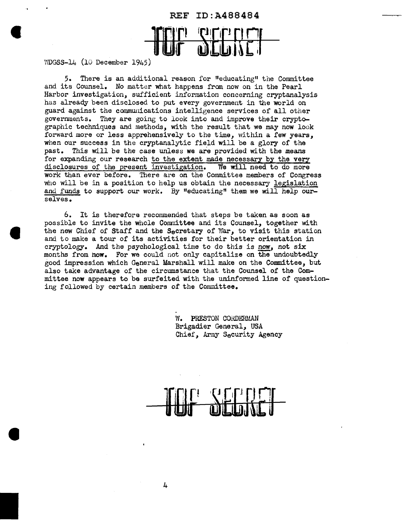

WDGSS-14 (10 December 1945)

5. There is an additional reason for 1•educating11 the Committee and its Counsel. No matter what happens from now on in the Pearl Harbor investigation, sufficient information concerning cryptanalysis has already been disclosed to put every government in the world on guard against the communications intelligence services of all other governments. They are going to look into and improve their cryptographic techniques and methods, with the result that we may now look forward more or less apprehensively to the time, within a few years, when our success in the cryptanalytic field will be a glory of the past. This will be the case unless we are provided with the means for expanding our research to the extent made necessary by the very disclosures of the present investigation. We will need to do more disclosures of the present investigation. work than ever before. There are on the Committee members of Congress who will be in a position to help us obtain the necessary legislation and funds to support our work. By "educating" them we will help ourselves.

6. It is therefore recommended that steps be taken as soon as possible to invite the whole Committee and its Counsel, together with the new Chief of Staff and the Secretary of War, to visit this station and to make a tour of its activities for their better orientation in cryptology. And the psychological time to do this is now, not six months from how. For we could not only capitalize on the undoubtedly good impression which General Marshall will make on the Committee, but also take advantage of the circumstance that the Counsel of the Committee now appears to be surfeited with the uninformed line of questioning followed by certain members of the Committee.

> W. PRESTON CORDERMAN Brigadier General, USA Chief, Army Security Agency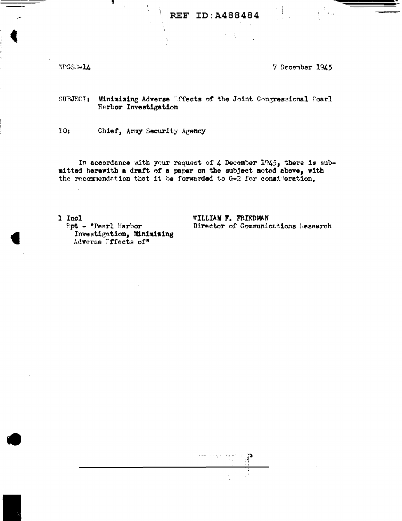## REF ID: A488484

WDGS3-14

7 December 1945

 $t_{\rm{max}}$ 

SUBJECT: Minimizing Adverse Difects of the Joint Congressional Pearl Herbor Investigation

 $10:$ Chief, Army Security Agency

In accordance with your request of 4 December  $1945$ , there is submitted herewith a draft of a paper on the subject noted above, with the recommendation that it be forwarded to G-2 for consideration.

1 Incl **Fpt - "Peerl Harbor** Investigation, Minimising Adverse Fffects of\*

WILLIAM F. FRIEDMAN Director of Communications Research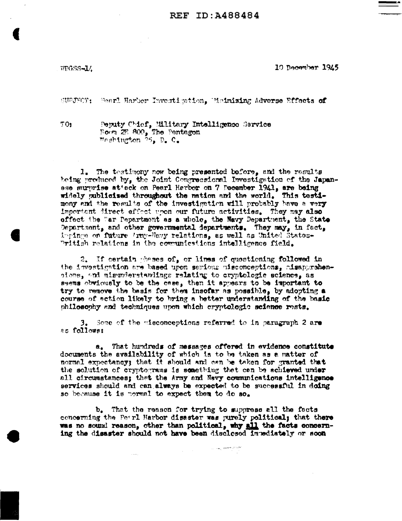

WDGSS-14

10 December 1945

SUPJECT: Pearl Harbor Investigation. Enimising Adverse Effects of

TO:

Peputy Chief, Military Intelligence Sarvice Boom 2E 800, The Pentagon Weshington 25, D. C.

1. The testimony now being presented before, and the results being produced by, the Joint Congressional Investigation of the Japanese surprise attack on Pearl Harbor on 7 December 1941, are being widely publicised throughout the nation and the world. This testimony and the results of the investigation will probably have a very Important direct effect upon our future activities. They may also offect the War Pepartment as a whole, the Navy Department, the State Department, and other governmental departments. They may, in fact, impings on future 'rmy-Navy relations, as well as United States-"ritish relations in the communications intelligence field.

2. If certain phases of, or lines of questioning followed in the investigation are based upon serious misconceptions, misapprehensions, and misunderstandings relating to cryptologic science, as seems obviously to be the case, then it appears to be important to try to remove the basis for them insofar as possible, by adopting a course of action likely to bring a better understanding of the basic philosophy and techniques upon which cryptologic science rests.

3. Some of the misconceptions referred to in paragraph 2 are as follows:

a. That hundreds of messages offered in evidence constitute documents the availability of which is to be taken as a matter of normal expectancy; that it should and can be taken for granted that the solution of cryptograms is something that can be schieved under all circumstances; that the Army and Nevy communications intelligence services should and can always be expected to be successful in doing so because it is normal to expect them to do so.

b. That the reason for trying to suppress all the facts concerning the Pearl Harbor disaster was purely political; that there was no sound reason, other than political, why all the facts concerning the disaster should not have been disclosed invedictely or soon

 $\mathcal{L}_{\mathcal{L}_{\mathcal{L}_{\mathcal{L}}}^{\mathcal{L}_{\mathcal{L}}}(\mathcal{L}_{\mathcal{L}_{\mathcal{L}}}^{\mathcal{L}_{\mathcal{L}}}(\mathcal{L}_{\mathcal{L}_{\mathcal{L}}}^{\mathcal{L}_{\mathcal{L}}}(\mathcal{L}_{\mathcal{L}_{\mathcal{L}}}^{\mathcal{L}_{\mathcal{L}}}(\mathcal{L}_{\mathcal{L}_{\mathcal{L}}}^{\mathcal{L}_{\mathcal{L}}}(\mathcal{L}_{\mathcal{L}_{\mathcal{L}}}^{\mathcal{L}_{\mathcal{L}}}))})$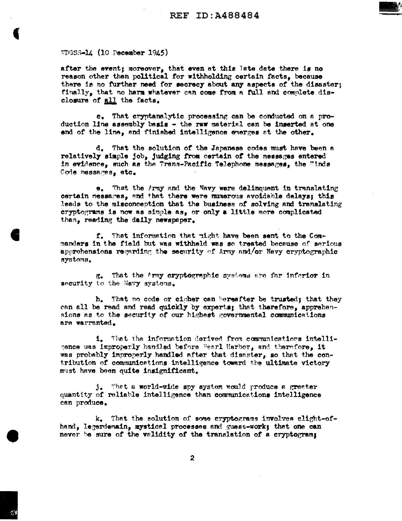

after the event; moreover, that even at this late date there is no reason other than political for withholding certain facts, because there is no further need for secrecy about any aspects of the disaster; finally, that no harm whatever can come from a full and complete disclosure of all the facts.

e. That exyptanalytic processing can be conducted on a production line assembly basis - the raw material can be inserted at one end of the line, and finished intelligence emerges at the other.

d. That the solution of the Japanese codes must have been a relatively simple job, judging from certain of the messages entered in evidence, such as the Trans-Pacific Telephone messages, the "inds Code messages, etc.

 $\bullet$ . That the Army and the Navy were delinquent in translating certain messages, and that there were numerous avoidable delays; this leads to the misconception that the business of solving and translating cryptograms is now as simple as, or only a little more complicated than, reading the daily newspaper.

f. That information that right have been sent to the Commanders in the field but was withheld was so treated because of serious apprehensions regarding the security of Army and/or Navy cryptographic systems.

That the Army cryptographic systems are far inferior in В. security to the Navy systems.

That no ocde or cipher can bereafter be trusted; that they h. can all be read and read quickly by experts; that therefore, apprehensions as to the security of our highest governmental communications are warranted.

1. That the information derived from communications intelligence was improperly handled before Pesrl Harbor, and therefore, it was probably improperly handled after that disaster, so that the contribution of communications intelligence toward the ultimate victory must have been quite insignificant.

That a world-wide spy system would produce a greater  $j_{\bullet}$ quantity of reliable intelligence than communications intelligence can produce.

k. That the solution of some cryptograms involves slight-ofhand, legerdemain, mystical processes and guess-work; that one can never be sure of the validity of the translation of a cryptogram;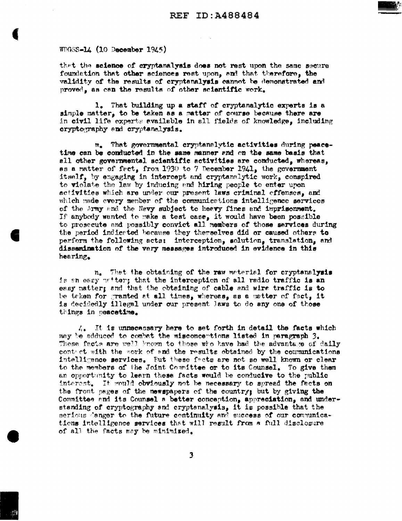

 $MTGSS - L4$  (10 December 1945)

that the science of cryptanalysis does not rest upon the same secure foundation that other sciences rest upon, and that therefore, the validity of the results of cryptanalysis cannot be demonstrated and proved, as can the results of other scientific work.

1. That building up a staff of cryptanalytic experts is a simple matter, to be taken as a matter of course because there are in civil life experts evailable in all fields of knowledge, including cryptography and cryptanalysis.

That governmental cryptanalytic activities during peace $m_{\bullet}$ time can be conducted in the same manner and on the same basis that all other governmental scientific activities are conducted, whereas, as a matter of fect, from 1930 to 7 December 1941, the government itself, by engaging in intercept and cryptanalytic work, conspired to violate the law by inducing and hiring people to enter upon activities which are under our present laws criminal offenses, and which made every member of the communications intelligence services of the Army and the Navy subject to heavy fines and imprisonment. If anybody wanted to make a test case, it would have been possible to prosecute and possibly convict all members of those services during the period indicated because they therselves did or caused others to perform the following acts: interception, solution, translation, and dissemination of the very messages introduced in evidence in this hearing.

n. That the obtaining of the raw material for cryptanalysis is an easy natter; that the interception of all radio traffic is an easy matter; and that the obtaining of cable and wire traffic is to be taken for granted at all times, whereas, as a matter of fact, it is decidedly illegal under our present laws to do any one of those things in peacetime.

 $\Lambda$ . It is unnecessary here to set forth in detail the facts which may be adduced to combat the misconceptions listed in paragraph 3. These facts are well known to those who have had the advantage of daily contrict with the work of and the results obtained by the communications intelligence services. Fut these facts are not so well known or clear to the members of the Joint Committee or to its Counsel. To give them an opportunity to learn these facts would be conducive to the public interest. It would obviously not be necessary to spread the facts on the front pages of the newspapers of the country; but by giving the Committee and its Counsel a better conception, appreciation, and understanding of cryptography and cryptanalysis, it is possible that the serious danger to the future continuity and success of our communications intelligence services that will result from a full disclosure of all the facts may be minimized.